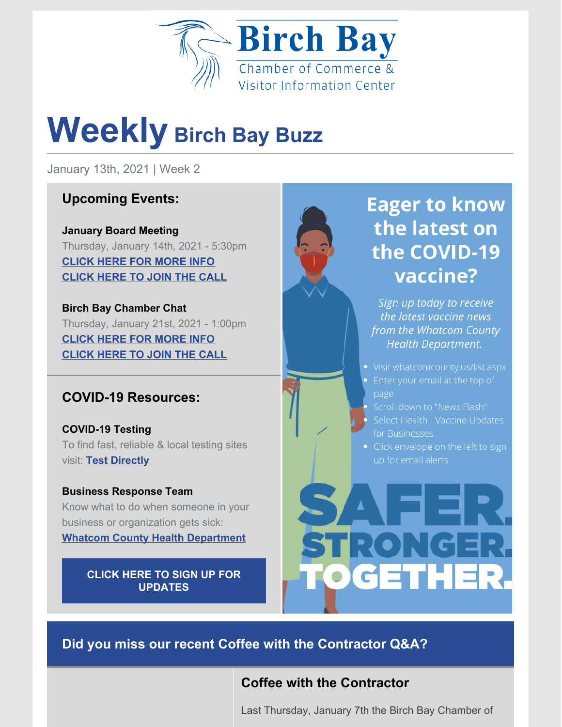

# **Weekly Birch Bay Buzz**

January 13th, 2021 | Week 2

# **Upcoming Events:**

**January Board Meeting** Thursday, January 14th, 2021 - 5:30pm **[CLICK](https://birchbaychamber.com/chamber-meetings/) HERE FOR MORE INFO [CLICK](https://us02web.zoom.us/j/81207567081?pwd=WXJUSkZWL0x0MG1sZm42V2FGT200dz09) HERE TO JOIN THE CALL**

**Birch Bay Chamber Chat** Thursday, January 21st, 2021 - 1:00pm **[CLICK](https://birchbaychamber.com/chamber-meetings/) HERE FOR MORE INFO [CLICK](https://us02web.zoom.us/j/728179949) HERE TO JOIN THE CALL**

# **COVID-19 Resources:**

**COVID-19 Testing** To find fast, reliable & local testing sites visit: **Test [Directly](https://www.testdirectly.com/patient/home)**

**Business Response Team** Know what to do when someone in your business or organization gets sick:

**Whatcom County Health [Department](https://mcusercontent.com/e01d1b1d896033e1b86b71980/files/d0c805b4-dce1-4363-bd83-652985d3ce23/FAQ_for_Buisnesses_with_ill_workers_07.06.20.pdf)**

**CLICK HERE TO SIGN UP FOR [UPDATES](https://www.whatcomcounty.us/list.aspx)**



Sign up today to receive the latest vaccine news from the Whatcom County **Health Department.** 

- Visit whatcomcounty.us/list.aspx
- 
- 
- Select Health Vaccine Updates for Businesses
- Click envelope on the left to sign



**Did you miss our recent Coffee with the Contractor Q&A?**

# **Coffee with the Contractor**

Last Thursday, January 7th the Birch Bay Chamber of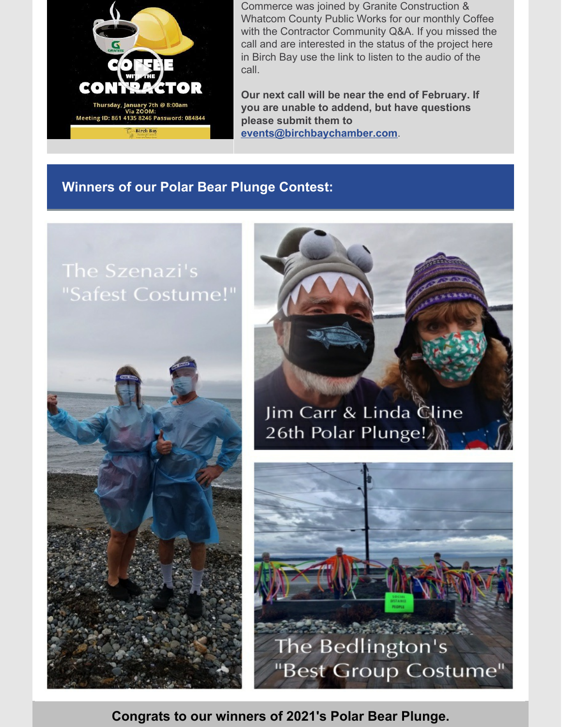

Commerce was joined by Granite Construction & Whatcom County Public Works for our monthly Coffee with the Contractor Community Q&A. If you missed the call and are interested in the status of the project here in Birch Bay use the link to listen to the audio of the call.

**Our next call will be near the end of February. If you are unable to addend, but have questions please submit them to [events@birchbaychamber.com](mailto:events@birchbaychamber.com)**.

### **Winners of our Polar Bear Plunge Contest:**

# "Safest Costume!"







**Congrats to our winners of 2021's Polar Bear Plunge.**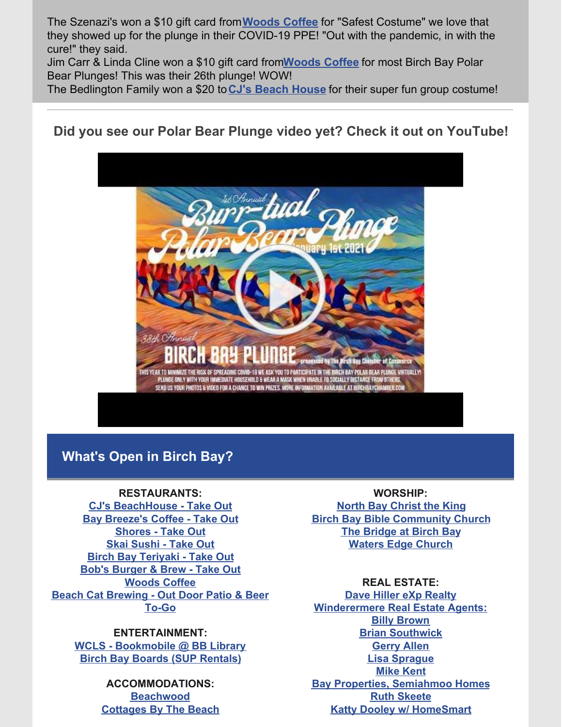The Szenazi's won a \$10 gift card from**[Woods](https://woodscoffee.com) Coffee** for "Safest Costume" we love that they showed up for the plunge in their COVID-19 PPE! "Out with the pandemic, in with the cure!" they said.

Jim Carr & Linda Cline won a \$10 gift card from**[Woods](https://woodscoffee.com) Coffee** for most Birch Bay Polar Bear Plunges! This was their 26th plunge! WOW!

The Bedlington Family won a \$20 to**CJ's [Beach](https://www.facebook.com/CJs-Beach-House-115981265088932/) House** for their super fun group costume!

## **Did you see our Polar Bear Plunge video yet? Check it out on YouTube!**



### **What's Open in Birch Bay?**

#### **RESTAURANTS:**

**CJ's [BeachHouse](https://www.facebook.com/CJs-Beach-House-115981265088932/) - Take Out Bay [Breeze's](http://www.baybreezerestaurant.com/) Coffee - Take Out [Shores](https://www.facebook.com/The-Shores-166584533377886/) - Take Out Skai [Sushi](https://www.skaisushi.com/) - Take Out Birch Bay [Teriyaki](https://www.facebook.com/birchbayteriyaki/) - Take Out Bob's [Burger](https://bobsburgersandbrewbirchbay.com/) & Brew - Take Out [Woods](https://woodscoffee.com/locations/blaine/birch-bay-square/) Coffee Beach Cat [Brewing](https://beachcatbrewing.com/) - Out Door Patio & Beer To-Go**

#### **ENTERTAINMENT:**

**WCLS - [Bookmobile](https://www.wcls.org/bookmobile-mobile-services/) @ BB Library Birch Bay Boards (SUP [Rentals\)](http://birchbayboards.com/)**

> **ACCOMMODATIONS: [Beachwood](https://www.soundpacificrv.com/beachwood-resort) [Cottages](https://www.ilovecottages.com/) By The Beach**

#### **WORSHIP:**

**North Bay [Christ](https://www.ctk.church/blaine/) the King Birch Bay Bible [Community](https://www.birchbaychurch.com/) Church The [Bridge](http://www.thebridgebirchbay.com/) at Birch Bay Waters Edge [Church](https://watersedgewa.com/)**

#### **REAL ESTATE:**

**Dave Hiller eXp [Realty](http://www.davehiller.realtor/) [Winderermere](https://windermerewhatcom.com/) Real Estate Agents: Billy [Brown](https://birchbay.com/) Brian [Southwick](http://www.briansouthwick.com/) [Gerry](http://www.gerryallen.withwre.com/) Allen Lisa [Sprague](http://www.lisasprague.com/) [Mike](http://www.mikekent.com/) Kent Bay Properties, [Semiahmoo](https://www.baypropertiesnw.com/) Homes Ruth [Skeete](http://perkyhomesthebay.com/) Katty Dooley w/ [HomeSmart](https://www.facebook.com/kattydooley1)**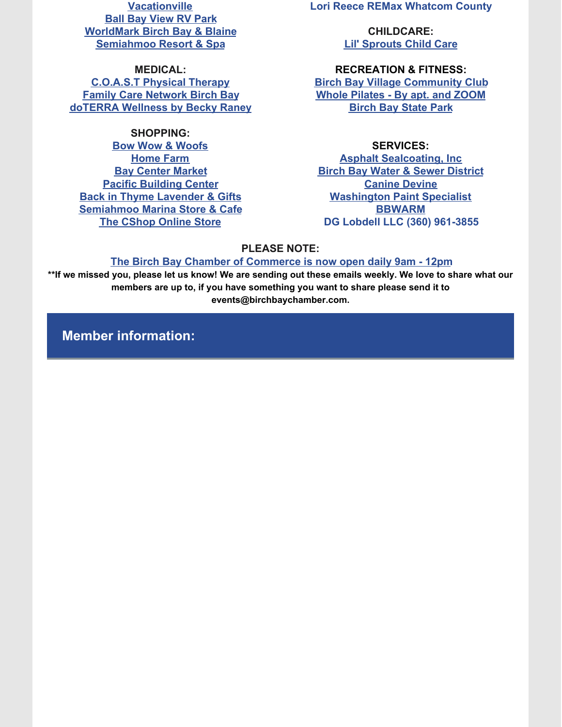**[Vacationville](http://vacationville.com/) Ball Bay [View](http://ballbayviewrvpark.com/) RV Park [WorldMark](https://www.worldmarktheclub.com/) Birch Bay & Blaine [Semiahmoo](https://www.semiahmoo.com/) Resort & Spa**

**MEDICAL: [C.O.A.S.T](https://www.c-o-a-s-t-physicaltherapy.com/) Physical Therapy Family Care [Network](http://www.familycarenetwork.com/) Birch Bay [doTERRA](http://essentialsforlivingnw.com/) Wellness by Becky Raney**

#### **SHOPPING:**

**Bow Wow & [Woofs](https://www.bowwowwoofs.com/) [Home](https://www.homefarm.farm/) Farm Bay [Center](http://www.baycentermarket.com/index.html) Market Pacific [Building](http://www.pacificbuilding.com/) Center Back in Thyme [Lavender](https://www.facebook.com/BackInThymeLavender/?ref=br_rs) & Gifts [Semiahmoo](http://www.semiahmoomarina.com/) Marina Store & Cafe The [CShop](https://the-c-shop.myshopify.com/collections/all) Online Store**

**Lori Reece REMax Whatcom County**

**CHILDCARE: Lil' [Sprouts](mailto:lilsproutsdaycare@gmail.com) Child Care**

#### **RECREATION & FITNESS:**

**Birch Bay Village [Community](http://www.bbvcc.com/) Club Whole [Pilates](http://wholepilates.com/) - By apt. and ZOOM [Birch](https://parks.state.wa.us/170/Birch-Bay) Bay State Park**

#### **SERVICES:**

**Asphalt [Sealcoating,](http://asphaltsealcoatinginc.com/) Inc Birch Bay Water & Sewer [District](http://www.bbwsd.com/) [Canine](https://www.caninedivinespa.com/) Devine [Washington](http://washingtonpaintspecialist.com/) Paint Specialist [BBWARM](http://www.bbwarm.whatcomcounty.org/) DG Lobdell LLC (360) 961-3855**

#### **PLEASE NOTE:**

#### **The Birch Bay Chamber of [Commerce](https://birchbaychamber.com/) is now open daily 9am - 12pm**

\*\*If we missed you, please let us know! We are sending out these emails weekly. We love to share what our **members are up to, if you have something you want to share please send it to events@birchbaychamber.com.**

**Member information:**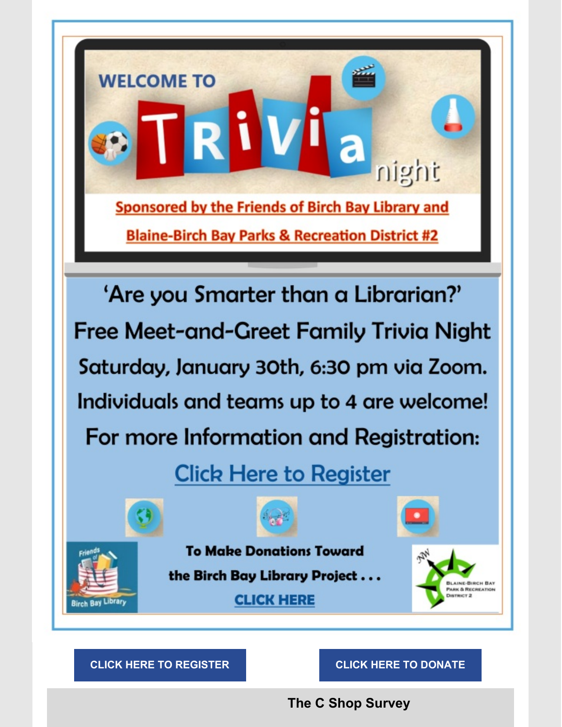

**The C Shop Survey**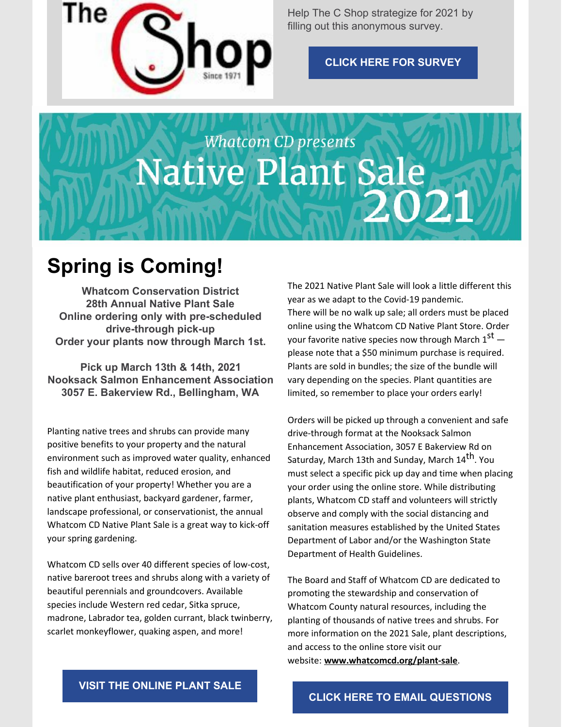

Help The C Shop strategize for 2021 by filling out this anonymous survey.

**CLICK HERE FOR [SURVEY](https://us3.list-manage.com/survey?u=3651b2ed689d3276f28e21bb4&id=ffc53dc410&attribution=false&fbclid=IwAR0ekc25lBeBrkfmWxmLC0CYkoNVpLY8Zlo602_Nh5fm0JGSpNuGmwrCIYE)**

# **Whatcom CD presents Native Plant Sale** 2021

# **Spring is Coming!**

**Whatcom Conservation District 28th Annual Native Plant Sale Online ordering only with pre-scheduled drive-through pick-up Order your plants now through March 1st.**

**Pick up March 13th & 14th, 2021 Nooksack Salmon Enhancement Association 3057 E. Bakerview Rd., Bellingham, WA**

Planting native trees and shrubs can provide many positive benefits to your property and the natural environment such as improved water quality, enhanced fish and wildlife habitat, reduced erosion, and beautification of your property! Whether you are a native plant enthusiast, backyard gardener, farmer, landscape professional, or conservationist, the annual Whatcom CD Native Plant Sale is a great way to kick-off your spring gardening.

Whatcom CD sells over 40 different species of low-cost, native bareroot trees and shrubs along with a variety of beautiful perennials and groundcovers. Available species include Western red cedar, Sitka spruce, madrone, Labrador tea, golden currant, black twinberry, scarlet monkeyflower, quaking aspen, and more!

The 2021 Native Plant Sale will look a little different this year as we adapt to the Covid-19 pandemic. There will be no walk up sale; all orders must be placed online using the Whatcom CD Native Plant Store. Order your favorite native species now through March  $1^\text{st}$  please note that a \$50 minimum purchase is required. Plants are sold in bundles; the size of the bundle will vary depending on the species. Plant quantities are limited, so remember to place your orders early!

Orders will be picked up through a convenient and safe drive-through format at the Nooksack Salmon Enhancement Association, 3057 E Bakerview Rd on Saturday, March 13th and Sunday, March 14<sup>th</sup>. You must select a specific pick up day and time when placing your order using the online store. While distributing plants, Whatcom CD staff and volunteers will strictly observe and comply with the social distancing and sanitation measures established by the United States Department of Labor and/or the Washington State Department of Health Guidelines.

The Board and Staff of Whatcom CD are dedicated to promoting the stewardship and conservation of Whatcom County natural resources, including the planting of thousands of native trees and shrubs. For more information on the 2021 Sale, plant descriptions, and access to the online store visit our website: **[www.whatcomcd.org/plant-sale](http://www.whatcomcd.org/plant-sale)**.

**VISIT THE [ONLINE](https://www.whatcomcd.org/plant-sale) PLANT SALE**

**CLICK HERE TO EMAIL [QUESTIONS](http://plantsale@whatcomcd.org)**